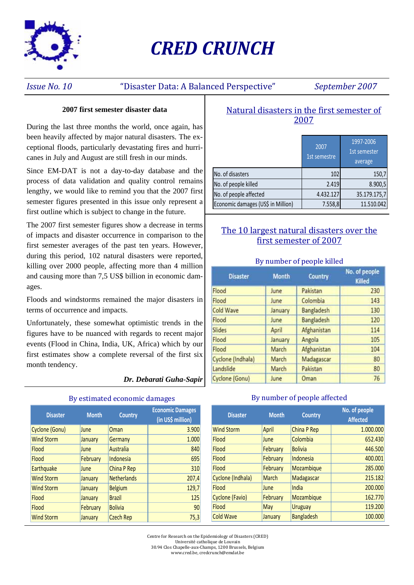

# *CRED CRUNCH*

### *Issue No. 10* "Disaster Data: A Balanced Perspective" *September 2007*

#### **2007 first semester disaster data**

During the last three months the world, once again, has been heavily affected by major natural disasters. The exceptional floods, particularly devastating fires and hurricanes in July and August are still fresh in our minds.

Since EM-DAT is not a day-to-day database and the process of data validation and quality control remains lengthy, we would like to remind you that the 2007 first semester figures presented in this issue only represent a first outline which is subject to change in the future.

The 2007 first semester figures show a decrease in terms of impacts and disaster occurrence in comparison to the first semester averages of the past ten years. However, during this period, 102 natural disasters were reported, killing over 2000 people, affecting more than 4 million and causing more than 7,5 US\$ billion in economic damages.

Floods and windstorms remained the major disasters in terms of occurrence and impacts.

Unfortunately, these somewhat optimistic trends in the figures have to be nuanced with regards to recent major events (Flood in China, India, UK, Africa) which by our first estimates show a complete reversal of the first six month tendency.

#### *Dr. Debarati Guha-Sapir*

| <b>Disaster</b>   | <b>Month</b> | <b>Country</b>     | <b>Economic Damages</b><br>(in US\$ million) |
|-------------------|--------------|--------------------|----------------------------------------------|
| Cyclone (Gonu)    | June         | Oman               | 3.900                                        |
| <b>Wind Storm</b> | January      | Germany            | 1.000                                        |
| <b>Flood</b>      | June         | Australia          | 840                                          |
| <b>Flood</b>      | February     | <b>Indonesia</b>   | 695                                          |
| <b>Earthquake</b> | June         | China P Rep        | 310                                          |
| <b>Wind Storm</b> | January      | <b>Netherlands</b> | 207,4                                        |
| <b>Wind Storm</b> | January      | <b>Belgium</b>     | 129,7                                        |
| Flood             | January      | <b>Brazil</b>      | 125                                          |
| Flood             | February     | <b>Bolivia</b>     | 90                                           |
| <b>Wind Storm</b> | January      | <b>Czech Rep</b>   | 75,3                                         |

#### By estimated economic damages **By number of people affected**

### Natural disasters in the first semester of 2007

|                                    | 2007<br>1st semestre | 1997-2006<br>1st semester<br>average |
|------------------------------------|----------------------|--------------------------------------|
| No. of disasters                   | 102                  | 150,7                                |
| No. of people killed               | 2.419                | 8.900,5                              |
| No. of people affected             | 4.432.127            | 35.179.175,7                         |
| Economic damages (US\$ in Million) | 7.558,8              | 11.510.042                           |

### The 10 largest natural disasters over the first semester of 2007

#### By number of people killed

| <b>Disaster</b>   | <b>Month</b> | Country     | No. of people<br><b>Killed</b> |
|-------------------|--------------|-------------|--------------------------------|
| Flood             | June         | Pakistan    | 230                            |
| Flood             | June         | Colombia    | 143                            |
| Cold Wave         | January      | Bangladesh  | 130                            |
| Flood             | <b>June</b>  | Bangladesh  | 120                            |
| Slides            | April        | Afghanistan | 114                            |
| Flood             | January      | Angola      | 105                            |
| Flood             | March        | Afghanistan | 104                            |
| Cyclone (Indhala) | March        | Madagascar  | 80                             |
| Landslide         | March        | Pakistan    | 80                             |
| Cyclone (Gonu)    | June         | Oman        | 76                             |

| <b>Disaster</b>   | <b>Month</b> | <b>Country</b>    | No. of people<br><b>Affected</b> |
|-------------------|--------------|-------------------|----------------------------------|
| <b>Wind Storm</b> | April        | China P Rep       | 1.000.000                        |
| Flood             | <b>June</b>  | Colombia          | 652.430                          |
| Flood             | February     | <b>Bolivia</b>    | 446.500                          |
| Flood             | February     | Indonesia         | 400.001                          |
| Flood             | February     | Mozambique        | 285.000                          |
| Cyclone (Indhala) | March        | Madagascar        | 215.182                          |
| Flood             | June         | India             | 200.000                          |
| Cyclone (Favio)   | February     | Mozambique        | 162,770                          |
| <b>Flood</b>      | May          | <b>Uruguay</b>    | 119.200                          |
| <b>Cold Wave</b>  | January      | <b>Bangladesh</b> | 100.000                          |